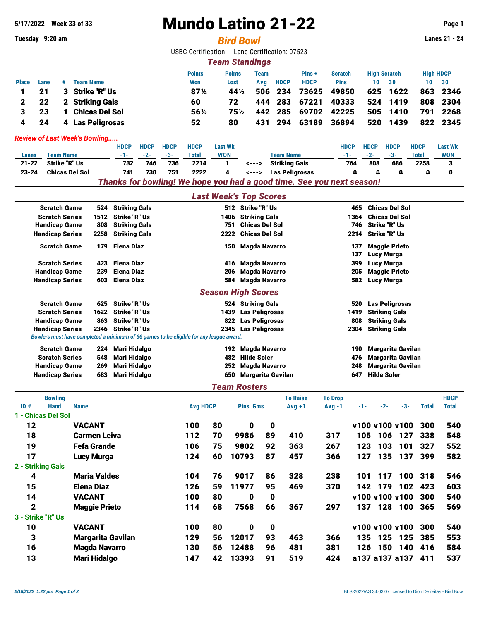# **5/17/2022 Week 33 of 33** Mundo Latino 21-22 **Page 1**

## **Tuesday 9:20 am** *Bird Bowl* **Lanes 21 - 24**

USBC Certification: Lane Certification: 07523

|              | <b>Team Standings</b>                                                                    |   |                       |                 |      |     |             |             |             |     |          |     |      |
|--------------|------------------------------------------------------------------------------------------|---|-----------------------|-----------------|------|-----|-------------|-------------|-------------|-----|----------|-----|------|
|              | <b>Points</b><br><b>Points</b><br><b>High Scratch</b><br>Pins+<br><b>Scratch</b><br>Team |   |                       |                 |      |     |             |             |             |     |          |     |      |
| <b>Place</b> | Lane                                                                                     |   | <b>Team Name</b>      | Won             | Lost | Ava | <b>HDCP</b> | <b>HDCP</b> | <b>Pins</b> | 10  | 30       | 10  | 30   |
|              | 21                                                                                       |   | 3 Strike "R" Us       | 87 <sub>2</sub> | 44 % | 506 | -234        | 73625       | 49850       | 625 | 1622     | 863 | 2346 |
|              | 22                                                                                       |   | 2 Striking Gals       | 60              | 72   |     | 444 283     | 67221       | 40333       |     | 524 1419 | 808 | 2304 |
|              | 23                                                                                       |   | <b>Chicas Del Sol</b> | $56\%$          | 75½  |     | 442 285     | 69702       | 42225       |     | 505 1410 | 791 | 2268 |
|              | 24                                                                                       | 4 | Las Peligrosas        | 52              | 80   | 431 | 294         | 63189       | 36894       | 520 | 1439     | 822 | 2345 |

#### *Review of Last Week's Bowling.....*

|                                                                       |                       | <b>HDCP</b> | <b>HDCP</b> | <b>HDCP</b> | <b>HDCP</b> | <b>Last Wk</b> |       |                      | <b>HDCP</b> | <b>HDCP</b> | <b>HDCP</b> | <b>HDCP</b> | <b>Last Wk</b> |
|-----------------------------------------------------------------------|-----------------------|-------------|-------------|-------------|-------------|----------------|-------|----------------------|-------------|-------------|-------------|-------------|----------------|
| Lanes                                                                 | Team Name             |             | $-2-$       | $-3-$       | Total       | <b>WON</b>     |       | Team Name            |             | $-2-$       | $-3-$       | Total       | WON            |
| $21 - 22$                                                             | Strike "R" Us         | 732         | 746         | 736         | 2214        |                | <---> | Striking Gals        | 764         | 808         | 686         | 2258        |                |
| $23 - 24$                                                             | <b>Chicas Del Sol</b> | 741         | 730         | 751         | 2222        |                |       | <---> Las Peligrosas |             |             |             |             |                |
| Thanks for bowling! We hope you had a good time. See you next season! |                       |             |             |             |             |                |       |                      |             |             |             |             |                |

## *Last Week's Top Scores*

| <b>Scratch Game</b><br>524                             |                        |                     | <b>Striking Gals</b> |                                                                                        |                      |                                                               | 512 Strike "R" Us     |                       |                 |                              | <b>Chicas Del Sol</b>    |                      |                      |              |              |  |  |
|--------------------------------------------------------|------------------------|---------------------|----------------------|----------------------------------------------------------------------------------------|----------------------|---------------------------------------------------------------|-----------------------|-----------------------|-----------------|------------------------------|--------------------------|----------------------|----------------------|--------------|--------------|--|--|
|                                                        | <b>Scratch Series</b>  |                     | 1512                 | <b>Strike "R" Us</b>                                                                   |                      | <b>Striking Gals</b><br><b>Chicas Del Sol</b><br>1364<br>1406 |                       |                       |                 |                              |                          |                      |                      |              |              |  |  |
|                                                        | <b>Handicap Game</b>   |                     | 808                  | <b>Striking Gals</b>                                                                   |                      | 751                                                           |                       | <b>Chicas Del Sol</b> | 746             |                              |                          |                      | <b>Strike "R" Us</b> |              |              |  |  |
|                                                        | <b>Handicap Series</b> |                     | 2258                 | <b>Striking Gals</b>                                                                   |                      | 2222                                                          |                       | <b>Chicas Del Sol</b> |                 |                              | 2214                     | Strike "R" Us        |                      |              |              |  |  |
|                                                        | <b>Scratch Game</b>    |                     | 179                  | <b>Elena Diaz</b>                                                                      |                      | 150                                                           |                       | <b>Magda Navarro</b>  |                 |                              | 137                      | <b>Maggie Prieto</b> |                      |              |              |  |  |
|                                                        |                        |                     |                      |                                                                                        |                      | 137                                                           | Lucy Murga            |                       |                 |                              |                          |                      |                      |              |              |  |  |
| <b>Scratch Series</b><br><b>Elena Diaz</b><br>423      |                        |                     |                      |                                                                                        | 416<br>206           |                                                               | <b>Magda Navarro</b>  |                       |                 | 399                          | <b>Lucy Murga</b>        |                      |                      |              |              |  |  |
| <b>Handicap Game</b><br><b>Elena Diaz</b><br>239       |                        |                     |                      |                                                                                        | <b>Magda Navarro</b> |                                                               | 205                   | <b>Maggie Prieto</b>  |                 |                              |                          |                      |                      |              |              |  |  |
| 603<br><b>Elena Diaz</b><br><b>Handicap Series</b>     |                        |                     |                      |                                                                                        |                      | <b>Magda Navarro</b><br>584                                   |                       |                       |                 |                              |                          |                      | Lucy Murga           |              |              |  |  |
|                                                        |                        |                     |                      |                                                                                        |                      | <b>Season High Scores</b>                                     |                       |                       |                 |                              |                          |                      |                      |              |              |  |  |
| <b>Scratch Game</b><br><b>Strike "R" Us</b><br>625     |                        |                     |                      |                                                                                        | 520                  | <b>Las Peligrosas</b>                                         |                       |                       |                 |                              |                          |                      |                      |              |              |  |  |
| 1622<br><b>Scratch Series</b>                          |                        |                     | <b>Strike "R" Us</b> |                                                                                        | 1439                 |                                                               | <b>Las Peligrosas</b> |                       |                 | <b>Striking Gals</b><br>1419 |                          |                      |                      |              |              |  |  |
| <b>Handicap Game</b><br>863<br><b>Strike "R" Us</b>    |                        |                     |                      |                                                                                        | 822                  |                                                               | <b>Las Peligrosas</b> |                       |                 | 808                          | <b>Striking Gals</b>     |                      |                      |              |              |  |  |
| <b>Strike "R" Us</b><br>2346<br><b>Handicap Series</b> |                        |                     |                      |                                                                                        | 2345                 |                                                               | <b>Las Peligrosas</b> |                       |                 | 2304                         | <b>Striking Gals</b>     |                      |                      |              |              |  |  |
|                                                        |                        |                     |                      | Bowlers must have completed a minimum of 66 games to be eligible for any league award. |                      |                                                               |                       |                       |                 |                              |                          |                      |                      |              |              |  |  |
|                                                        | <b>Scratch Game</b>    |                     | 224                  | <b>Mari Hidalgo</b>                                                                    |                      | 192                                                           | <b>Magda Navarro</b>  |                       |                 | 190                          | <b>Margarita Gavilan</b> |                      |                      |              |              |  |  |
|                                                        | <b>Scratch Series</b>  |                     | 548                  | Mari Hidalgo                                                                           |                      | <b>Hilde Soler</b><br>482                                     |                       |                       |                 | 476                          | <b>Margarita Gavilan</b> |                      |                      |              |              |  |  |
|                                                        | <b>Handicap Game</b>   |                     | 269                  | <b>Mari Hidalgo</b>                                                                    |                      | 252                                                           | <b>Magda Navarro</b>  |                       |                 | 248                          | <b>Margarita Gavilan</b> |                      |                      |              |              |  |  |
|                                                        | <b>Handicap Series</b> |                     | 683                  | <b>Mari Hidalgo</b>                                                                    |                      | 650                                                           |                       | Margarita Gavilan     |                 |                              | 647                      | <b>Hilde Soler</b>   |                      |              |              |  |  |
|                                                        |                        |                     |                      |                                                                                        |                      |                                                               | <b>Team Rosters</b>   |                       |                 |                              |                          |                      |                      |              |              |  |  |
|                                                        | <b>Bowling</b>         |                     |                      |                                                                                        |                      |                                                               |                       |                       | <b>To Raise</b> | <b>To Drop</b>               |                          |                      |                      |              | <b>HDCP</b>  |  |  |
| ID#                                                    | <b>Hand</b>            | <b>Name</b>         |                      |                                                                                        | <b>Avg HDCP</b>      |                                                               | <b>Pins Gms</b>       |                       | $Avg +1$        | $Avg -1$                     |                          |                      | $-3-$                | <b>Total</b> | <b>Total</b> |  |  |
|                                                        | 1 - Chicas Del Sol     |                     |                      |                                                                                        |                      |                                                               |                       |                       |                 |                              |                          |                      |                      |              |              |  |  |
| 12                                                     |                        | <b>VACANT</b>       |                      |                                                                                        | 100                  | 80                                                            | 0                     | 0                     |                 |                              |                          | v100 v100 v100       |                      | 300          | 540          |  |  |
| 18                                                     |                        | <b>Carmen Leiva</b> |                      |                                                                                        | 112                  | 70                                                            | 9986                  | 89<br>92              | 410<br>363      | 317                          | 105                      | 106                  | 127<br>101           | 338<br>327   | 548          |  |  |
| 19                                                     |                        | <b>Fefa Grande</b>  |                      |                                                                                        | 106                  | 75                                                            | 9802                  |                       |                 | 267                          | 123                      | 103                  |                      |              | 552          |  |  |
|                                                        |                        |                     |                      |                                                                                        |                      |                                                               |                       |                       |                 |                              |                          |                      |                      |              |              |  |  |

| 19                | <b>Fefa Grande</b>       | 106 | 75 | 9802  | 92 | 363 | 267 | 123 | 103            | 101     | -327    | 552 |
|-------------------|--------------------------|-----|----|-------|----|-----|-----|-----|----------------|---------|---------|-----|
| 17                | Lucy Murga               | 124 | 60 | 10793 | 87 | 457 | 366 | 127 | 135            | 137     | 399     | 582 |
| 2 - Striking Gals |                          |     |    |       |    |     |     |     |                |         |         |     |
| 4                 | <b>Maria Valdes</b>      | 104 | 76 | 9017  | 86 | 328 | 238 | 101 | 117            |         | 100 318 | 546 |
| 15                | <b>Elena Diaz</b>        | 126 | 59 | 11977 | 95 | 469 | 370 | 142 | 179            | 102     | 423     | 603 |
| 14                | <b>VACANT</b>            | 100 | 80 | 0     | 0  |     |     |     | v100 v100 v100 |         | 300     | 540 |
| $\mathbf{2}$      | <b>Maggie Prieto</b>     | 114 | 68 | 7568  | 66 | 367 | 297 | 137 | 128            | 100     | -365    | 569 |
| 3 - Strike "R" Us |                          |     |    |       |    |     |     |     |                |         |         |     |
| 10                | <b>VACANT</b>            | 100 | 80 | 0     | 0  |     |     |     | v100 v100 v100 |         | 300     | 540 |
| 3                 | <b>Margarita Gavilan</b> | 129 | 56 | 12017 | 93 | 463 | 366 | 135 | 125            | 125 385 |         | 553 |
| 16                | <b>Magda Navarro</b>     | 130 | 56 | 12488 | 96 | 481 | 381 | 126 | 150            | 140     | 416     | 584 |
| 13                | <b>Mari Hidalgo</b>      | 147 | 42 | 13393 | 91 | 519 | 424 |     | a137 a137 a137 |         | 411     | 537 |
|                   |                          |     |    |       |    |     |     |     |                |         |         |     |